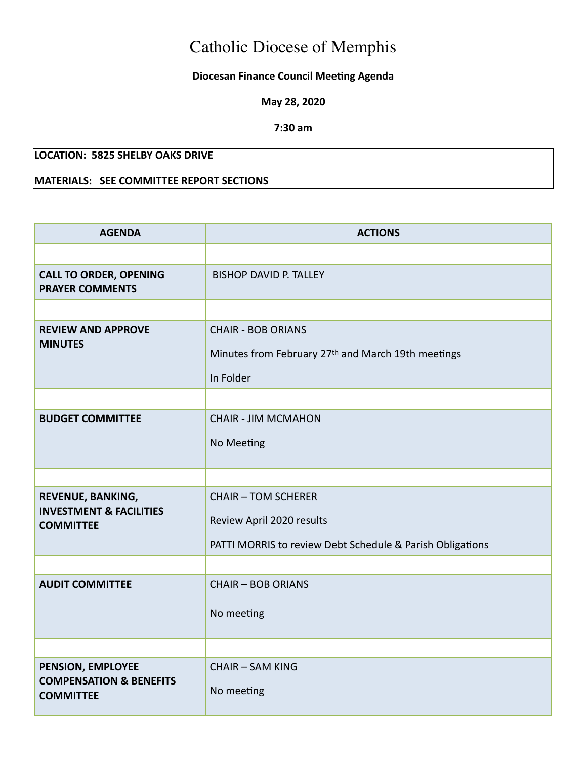## **Diocesan Finance Council Meeting Agenda**

**May 28, 2020**

**7:30 am**

## **LOCATION: 5825 SHELBY OAKS DRIVE**

## **MATERIALS: SEE COMMITTEE REPORT SECTIONS**

| <b>AGENDA</b>                                                               | <b>ACTIONS</b>                                                                                                       |  |  |
|-----------------------------------------------------------------------------|----------------------------------------------------------------------------------------------------------------------|--|--|
|                                                                             |                                                                                                                      |  |  |
| <b>CALL TO ORDER, OPENING</b><br><b>PRAYER COMMENTS</b>                     | <b>BISHOP DAVID P. TALLEY</b>                                                                                        |  |  |
|                                                                             |                                                                                                                      |  |  |
| <b>REVIEW AND APPROVE</b><br><b>MINUTES</b>                                 | <b>CHAIR - BOB ORIANS</b><br>Minutes from February 27th and March 19th meetings<br>In Folder                         |  |  |
|                                                                             |                                                                                                                      |  |  |
| <b>BUDGET COMMITTEE</b>                                                     | <b>CHAIR - JIM MCMAHON</b><br>No Meeting                                                                             |  |  |
|                                                                             |                                                                                                                      |  |  |
| REVENUE, BANKING,<br><b>INVESTMENT &amp; FACILITIES</b><br><b>COMMITTEE</b> | <b>CHAIR - TOM SCHERER</b><br>Review April 2020 results<br>PATTI MORRIS to review Debt Schedule & Parish Obligations |  |  |
|                                                                             |                                                                                                                      |  |  |
| <b>AUDIT COMMITTEE</b>                                                      | <b>CHAIR - BOB ORIANS</b><br>No meeting                                                                              |  |  |
|                                                                             |                                                                                                                      |  |  |
| PENSION, EMPLOYEE<br><b>COMPENSATION &amp; BENEFITS</b><br><b>COMMITTEE</b> | <b>CHAIR - SAM KING</b><br>No meeting                                                                                |  |  |